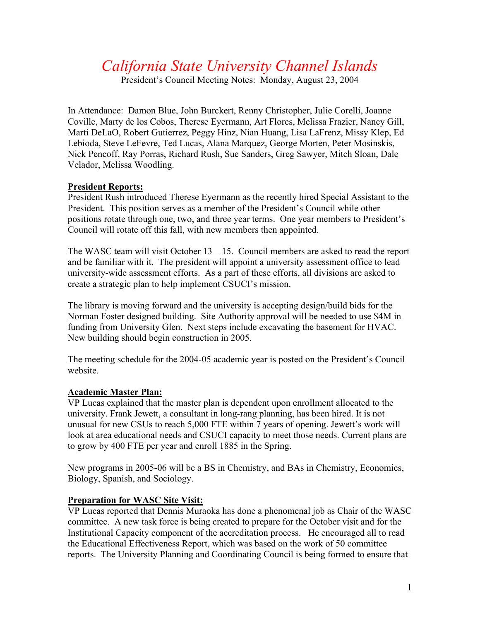# *California State University Channel Islands*

President's Council Meeting Notes: Monday, August 23, 2004

In Attendance: Damon Blue, John Burckert, Renny Christopher, Julie Corelli, Joanne Coville, Marty de los Cobos, Therese Eyermann, Art Flores, Melissa Frazier, Nancy Gill, Marti DeLaO, Robert Gutierrez, Peggy Hinz, Nian Huang, Lisa LaFrenz, Missy Klep, Ed Lebioda, Steve LeFevre, Ted Lucas, Alana Marquez, George Morten, Peter Mosinskis, Nick Pencoff, Ray Porras, Richard Rush, Sue Sanders, Greg Sawyer, Mitch Sloan, Dale Velador, Melissa Woodling.

#### **President Reports:**

President Rush introduced Therese Eyermann as the recently hired Special Assistant to the President. This position serves as a member of the President's Council while other positions rotate through one, two, and three year terms. One year members to President's Council will rotate off this fall, with new members then appointed.

The WASC team will visit October 13 – 15. Council members are asked to read the report and be familiar with it. The president will appoint a university assessment office to lead university-wide assessment efforts. As a part of these efforts, all divisions are asked to create a strategic plan to help implement CSUCI's mission.

The library is moving forward and the university is accepting design/build bids for the Norman Foster designed building. Site Authority approval will be needed to use \$4M in funding from University Glen. Next steps include excavating the basement for HVAC. New building should begin construction in 2005.

The meeting schedule for the 2004-05 academic year is posted on the President's Council website.

### **Academic Master Plan:**

VP Lucas explained that the master plan is dependent upon enrollment allocated to the university. Frank Jewett, a consultant in long-rang planning, has been hired. It is not unusual for new CSUs to reach 5,000 FTE within 7 years of opening. Jewett's work will look at area educational needs and CSUCI capacity to meet those needs. Current plans are to grow by 400 FTE per year and enroll 1885 in the Spring.

New programs in 2005-06 will be a BS in Chemistry, and BAs in Chemistry, Economics, Biology, Spanish, and Sociology.

### **Preparation for WASC Site Visit:**

VP Lucas reported that Dennis Muraoka has done a phenomenal job as Chair of the WASC committee. A new task force is being created to prepare for the October visit and for the Institutional Capacity component of the accreditation process. He encouraged all to read the Educational Effectiveness Report, which was based on the work of 50 committee reports. The University Planning and Coordinating Council is being formed to ensure that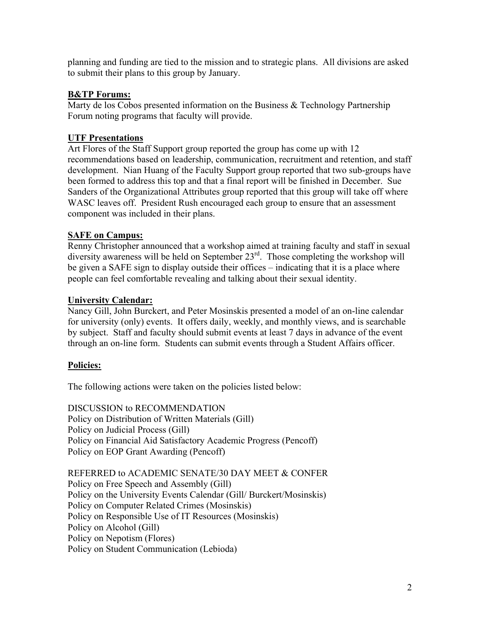planning and funding are tied to the mission and to strategic plans. All divisions are asked to submit their plans to this group by January.

## **B&TP Forums:**

Marty de los Cobos presented information on the Business & Technology Partnership Forum noting programs that faculty will provide.

## **UTF Presentations**

Art Flores of the Staff Support group reported the group has come up with 12 recommendations based on leadership, communication, recruitment and retention, and staff development. Nian Huang of the Faculty Support group reported that two sub-groups have been formed to address this top and that a final report will be finished in December. Sue Sanders of the Organizational Attributes group reported that this group will take off where WASC leaves off. President Rush encouraged each group to ensure that an assessment component was included in their plans.

## **SAFE on Campus:**

Renny Christopher announced that a workshop aimed at training faculty and staff in sexual diversity awareness will be held on September 23<sup>rd</sup>. Those completing the workshop will be given a SAFE sign to display outside their offices – indicating that it is a place where people can feel comfortable revealing and talking about their sexual identity.

### **University Calendar:**

Nancy Gill, John Burckert, and Peter Mosinskis presented a model of an on-line calendar for university (only) events. It offers daily, weekly, and monthly views, and is searchable by subject. Staff and faculty should submit events at least 7 days in advance of the event through an on-line form. Students can submit events through a Student Affairs officer.

## **Policies:**

The following actions were taken on the policies listed below:

DISCUSSION to RECOMMENDATION Policy on Distribution of Written Materials (Gill) Policy on Judicial Process (Gill) Policy on Financial Aid Satisfactory Academic Progress (Pencoff) Policy on EOP Grant Awarding (Pencoff)

REFERRED to ACADEMIC SENATE/30 DAY MEET & CONFER Policy on Free Speech and Assembly (Gill) Policy on the University Events Calendar (Gill/ Burckert/Mosinskis) Policy on Computer Related Crimes (Mosinskis) Policy on Responsible Use of IT Resources (Mosinskis) Policy on Alcohol (Gill) Policy on Nepotism (Flores) Policy on Student Communication (Lebioda)